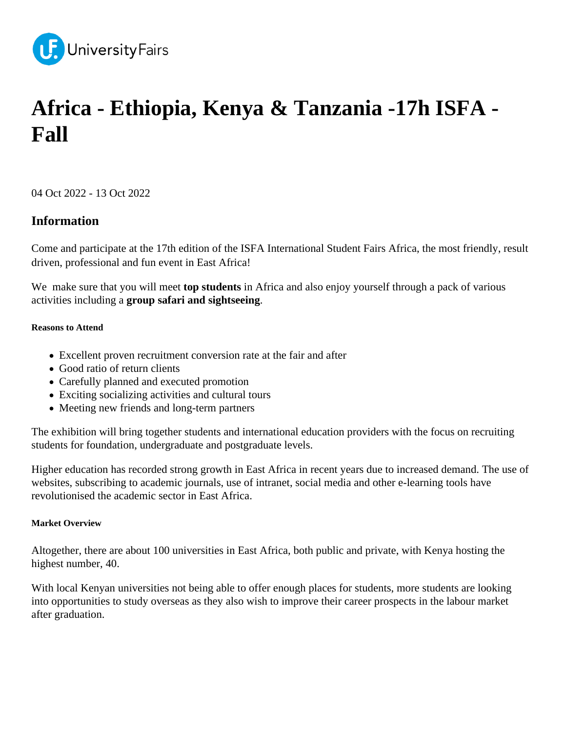

# **Africa - Ethiopia, Kenya & Tanzania -17h ISFA - Fall**

04 Oct 2022 - 13 Oct 2022

## **Information**

Come and participate at the 17th edition of the ISFA International Student Fairs Africa, the most friendly, result driven, professional and fun event in East Africa!

We make sure that you will meet **top students** in Africa and also enjoy yourself through a pack of various activities including a **group safari and sightseeing**.

## **Reasons to Attend**

- Excellent proven recruitment conversion rate at the fair and after
- Good ratio of return clients
- Carefully planned and executed promotion
- Exciting socializing activities and cultural tours
- Meeting new friends and long-term partners

The exhibition will bring together students and international education providers with the focus on recruiting students for foundation, undergraduate and postgraduate levels.

Higher education has recorded strong growth in East Africa in recent years due to increased demand. The use of websites, subscribing to academic journals, use of intranet, social media and other e-learning tools have revolutionised the academic sector in East Africa.

### **Market Overview**

Altogether, there are about 100 universities in East Africa, both public and private, with Kenya hosting the highest number, 40.

With local Kenyan universities not being able to offer enough places for students, more students are looking into opportunities to study overseas as they also wish to improve their career prospects in the labour market after graduation.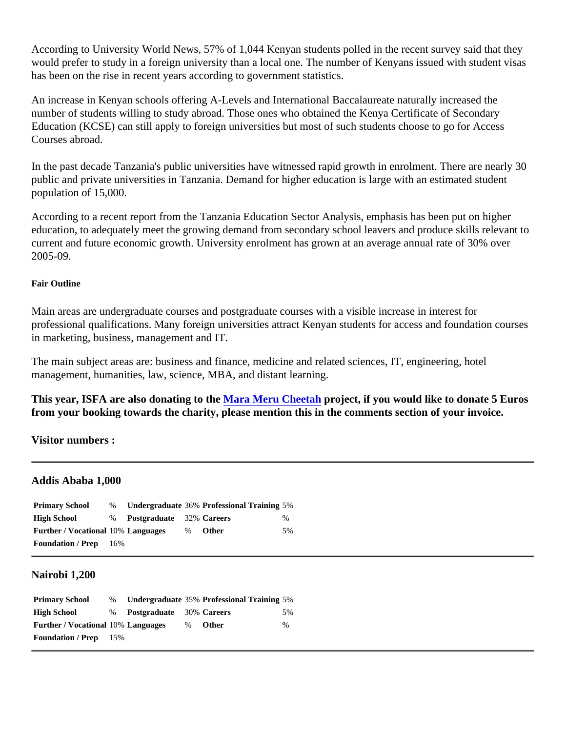According to University World News, 57% of 1,044 Kenyan students polled in the recent survey said that they would prefer to study in a foreign university than a local one. The number of Kenyans issued with student visa has been on the rise in recent years according to government statistics.

An increase in Kenyan schools offering A-Levels and International Baccalaureate naturally increased the number of students willing to study abroad. Those ones who obtained the Kenya Certificate of Secondary Education (KCSE) can still apply to foreign universities but most of such students choose to go for Access Courses abroad.

In the past decade Tanzania's public universities have witnessed rapid growth in enrolment. There are nearly public and private universities in Tanzania. Demand for higher education is large with an estimated student population of 15,000.

According to a recent report from the Tanzania Education Sector Analysis, emphasis has been put on higher education, to adequately meet the growing demand from secondary school leavers and produce skills relevar current and future economic growth. University enrolment has grown at an average annual rate of 30% over 2005-09.

## Fair Outline

Main areas are undergraduate courses and postgraduate courses with a visible increase in interest for professional qualifications. Many foreign universities attract Kenyan students for access and foundation cours in marketing, business, management and IT.

The main subject areas are: business and finance, medicine and related sciences, IT, engineering, hotel management, humanities, law, science, MBA, and distant learning.

This year, ISFA are also donating to th[e Mara Meru Cheetah](http://marameru.org/) project, if you would like to donate 5 Euros from your booking towards the charity, please mention this in the comments section of your invoice.

Visitor numbers :

## Addis Ababa 1,000

| <b>Primary School</b>              |                            | % Undergraduate 36% Professional Training 5% |     |
|------------------------------------|----------------------------|----------------------------------------------|-----|
| High School                        | % Postgraduate 32% Careers |                                              | %   |
| Further / Vocational 10% Languages |                            | % Other                                      | .5% |
| Foundation / Prep 16%              |                            |                                              |     |

## Nairobi 1,200

| <b>Primary School</b>              |                            | % Undergraduate 35% Professional Training 5% |      |
|------------------------------------|----------------------------|----------------------------------------------|------|
| High School                        | % Postgraduate 30% Careers |                                              | 5%   |
| Further / Vocational 10% Languages |                            | % Other                                      | $\%$ |
| Foundation / Prep 15%              |                            |                                              |      |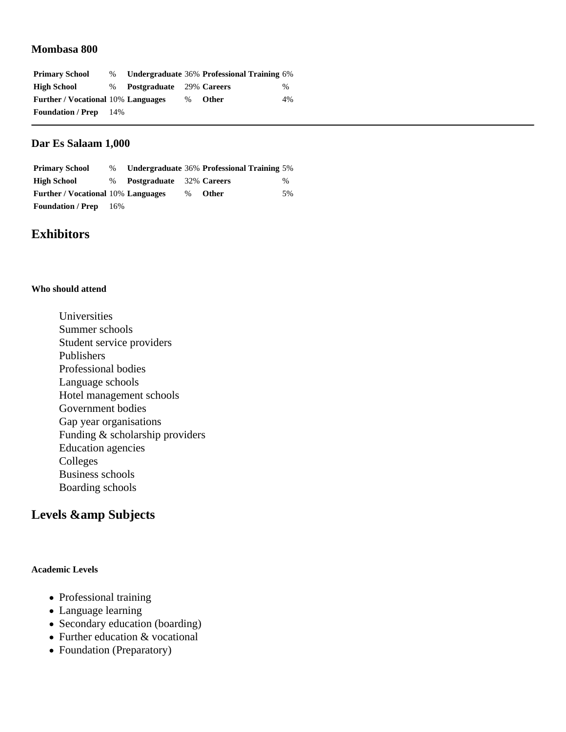## **Mombasa 800**

| <b>Primary School</b>                     | $\%$ |                                 |      | Undergraduate 36% Professional Training 6% |      |
|-------------------------------------------|------|---------------------------------|------|--------------------------------------------|------|
| <b>High School</b>                        | $\%$ | <b>Postgraduate</b> 29% Careers |      |                                            | $\%$ |
| <b>Further / Vocational 10% Languages</b> |      |                                 | $\%$ | <b>Other</b>                               | 4%   |
| <b>Foundation / Prep</b>                  | 14%  |                                 |      |                                            |      |

## **Dar Es Salaam 1,000**

| <b>Primary School</b>                     | $\%$ |                                 |      | Undergraduate 36% Professional Training 5% |      |
|-------------------------------------------|------|---------------------------------|------|--------------------------------------------|------|
| <b>High School</b>                        | $\%$ | <b>Postgraduate</b> 32% Careers |      |                                            | $\%$ |
| <b>Further / Vocational 10% Languages</b> |      |                                 | $\%$ | Other                                      | .5%  |
| <b>Foundation / Prep</b>                  | 16%  |                                 |      |                                            |      |

## **Exhibitors**

#### **Who should attend**

Universities Summer schools Student service providers Publishers Professional bodies Language schools Hotel management schools Government bodies Gap year organisations Funding & scholarship providers Education agencies Colleges Business schools Boarding schools

## Levels & amp Subjects

### **Academic Levels**

- Professional training
- Language learning
- Secondary education (boarding)
- Further education & vocational
- Foundation (Preparatory)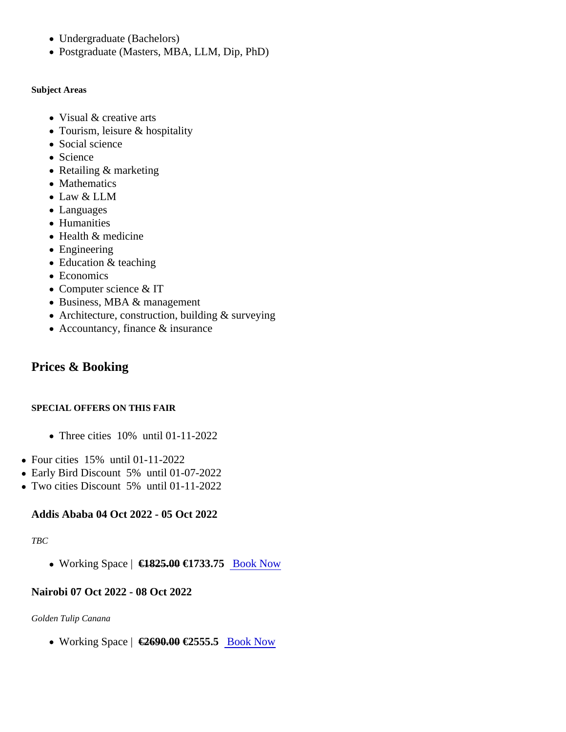- Undergraduate (Bachelors)
- Postgraduate (Masters, MBA, LLM, Dip, PhD)

Subject Areas

- Visual & creative arts
- Tourism, leisure & hospitality
- Social science
- Science
- Retailing & marketing
- Mathematics
- Law & LLM
- Languages
- Humanities
- Health & medicine
- Engineering
- Education & teaching
- Economics
- Computer science & IT
- Business, MBA & management
- Architecture, construction, building & surveying
- Accountancy, finance & insurance

## Prices & Booking

## SPECIAL OFFERS ON THIS FAIR

- Three cities 10% until 01-11-2022
- Four cities 15% until 01-11-2022
- Early Bird Discount 5% until 01-07-2022
- Two cities Discount 5% until 01-11-2022

Addis Ababa 04 Oct 2022 - 05 Oct 2022

TBC

• Working Space €1825.0 €1733.7[5 Book Now](https://universityfairs.com/fair/africa-ethiopia-kenya-tanzania-17h-isfa-fall?date=12973#booking)

Nairobi 07 Oct 2022 - 08 Oct 2022

Golden Tulip Canana

• Working Space <del>€2690.0</del>€2555.5 [Book Now](https://universityfairs.com/fair/africa-ethiopia-kenya-tanzania-17h-isfa-fall?date=12974#booking)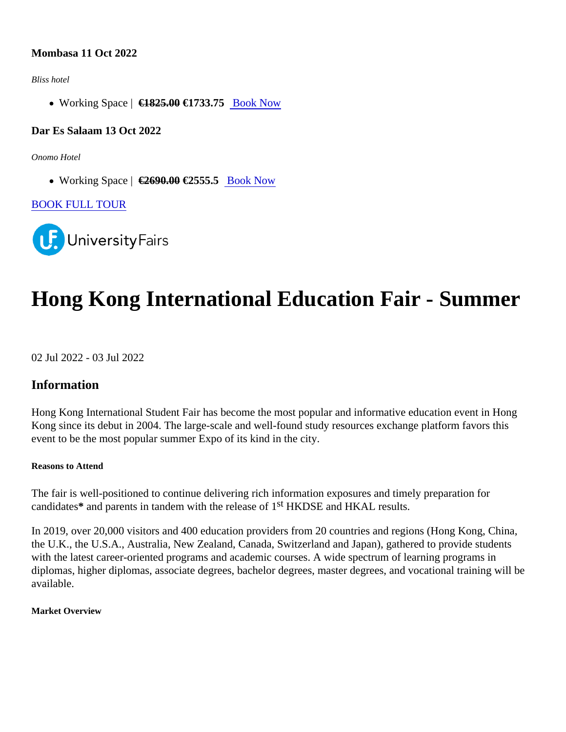## Mombasa 11 Oct 2022

Bliss hotel

• Working Space <del>€1825.0</del>€1733.7[5 Book Now](https://universityfairs.com/fair/africa-ethiopia-kenya-tanzania-17h-isfa-fall?date=12975#booking)

Dar Es Salaam 13 Oct 2022

Onomo Hotel

• Working Space <del>(</del>€2690.00€2555.5 [Book Now](https://universityfairs.com/fair/africa-ethiopia-kenya-tanzania-17h-isfa-fall?date=12972#booking)

[BOOK FULL TOUR](https://universityfairs.com/bookTour?id=12655)

# Hong Kong International Education Fair - Summer

02 Jul 2022 - 03 Jul 2022

Information

Hong Kong International Student Fair has become the most popular and informative education event in Hong Kong since its debut in 2004. The large-scale and well-found study resources exchange platform favors this event to be the most popular summer Expo of its kind in the city.

Reasons to Attend

The fair is well-positioned to continue delivering rich information exposures and timely preparation for candidate's and parents in tandem with the release<sup>st</sup> HKDSE and HKAL results.

In 2019, over 20,000 visitors and 400 education providers from 20 countries and regions (Hong Kong, China, the U.K., the U.S.A., Australia, New Zealand, Canada, Switzerland and Japan), gathered to provide students with the latest career-oriented programs and academic courses. A wide spectrum of learning programs in diplomas, higher diplomas, associate degrees, bachelor degrees, master degrees, and vocational training will available.

Market Overview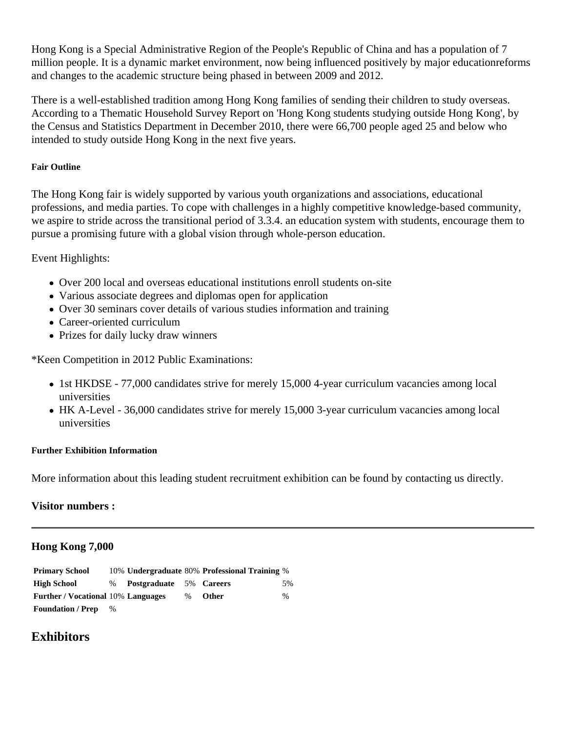Hong Kong is a Special Administrative Region of the People's Republic of China and has a population of 7 million people. It is a dynamic market environment, now being influenced positively by major educationreforms and changes to the academic structure being phased in between 2009 and 2012.

There is a well-established tradition among Hong Kong families of sending their children to study overseas. According to a Thematic Household Survey Report on 'Hong Kong students studying outside Hong Kong', by the Census and Statistics Department in December 2010, there were 66,700 people aged 25 and below who intended to study outside Hong Kong in the next five years.

## **Fair Outline**

The Hong Kong fair is widely supported by various youth organizations and associations, educational professions, and media parties. To cope with challenges in a highly competitive knowledge-based community, we aspire to stride across the transitional period of 3.3.4. an education system with students, encourage them to pursue a promising future with a global vision through whole-person education.

Event Highlights:

- Over 200 local and overseas educational institutions enroll students on-site
- Various associate degrees and diplomas open for application
- Over 30 seminars cover details of various studies information and training
- Career-oriented curriculum
- Prizes for daily lucky draw winners

\*Keen Competition in 2012 Public Examinations:

- 1st HKDSE 77,000 candidates strive for merely 15,000 4-year curriculum vacancies among local universities
- HK A-Level 36,000 candidates strive for merely 15,000 3-year curriculum vacancies among local universities

## **Further Exhibition Information**

More information about this leading student recruitment exhibition can be found by contacting us directly.

## **Visitor numbers :**

## **Hong Kong 7,000**

| <b>Primary School</b>                     |      |                           |      | 10% Undergraduate 80% Professional Training % |     |
|-------------------------------------------|------|---------------------------|------|-----------------------------------------------|-----|
| <b>High School</b>                        |      | % Postgraduate 5% Careers |      |                                               | .5% |
| <b>Further / Vocational 10% Languages</b> |      |                           | $\%$ | <b>Other</b>                                  | %   |
| <b>Foundation / Prep</b>                  | $\%$ |                           |      |                                               |     |

# **Exhibitors**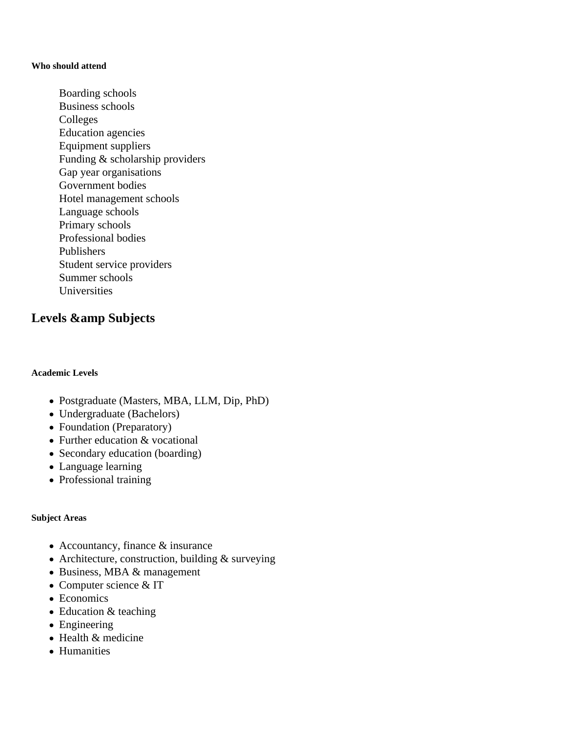#### **Who should attend**

Boarding schools Business schools Colleges Education agencies Equipment suppliers Funding & scholarship providers Gap year organisations Government bodies Hotel management schools Language schools Primary schools Professional bodies Publishers Student service providers Summer schools Universities

## Levels & amp Subjects

### **Academic Levels**

- Postgraduate (Masters, MBA, LLM, Dip, PhD)
- Undergraduate (Bachelors)
- Foundation (Preparatory)
- Further education & vocational
- Secondary education (boarding)
- Language learning
- Professional training

### **Subject Areas**

- Accountancy, finance & insurance
- Architecture, construction, building & surveying
- Business, MBA & management
- Computer science & IT
- Economics
- Education & teaching
- Engineering
- $\bullet$  Health  $\&$  medicine
- Humanities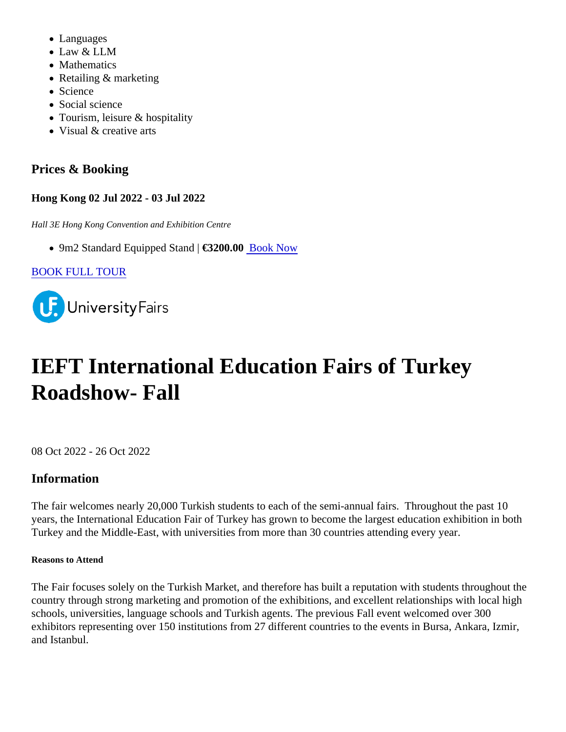- Languages
- Law & LLM
- Mathematics
- Retailing & marketing
- Science
- Social science
- Tourism, leisure & hospitality
- Visual & creative arts

# Prices & Booking

Hong Kong 02 Jul 2022 - 03 Jul 2022

Hall 3E Hong Kong Convention and Exhibition Centre

• 9m2 Standard Equipped Stana 63200.0[0 Book Now](https://universityfairs.com/fair/hong-kong-international-education-fair-summer?date=12685#booking)

[BOOK FULL TOUR](https://universityfairs.com/bookTour?id=12577)

# IEFT International Education Fairs of Turkey Roadshow- Fall

08 Oct 2022 - 26 Oct 2022

# Information

The fair welcomes nearly 20,000 Turkish students to each of the semi-annual fairs. Throughout the past 10 years, the International Education Fair of Turkey has grown to become the largest education exhibition in both Turkey and the Middle-East, with universities from more than 30 countries attending every year.

Reasons to Attend

The Fair focuses solely on the Turkish Market, and therefore has built a reputation with students throughout t country through strong marketing and promotion of the exhibitions, and excellent relationships with local high schools, universities, language schools and Turkish agents. The previous Fall event welcomed over 300 exhibitors representing over 150 institutions from 27 different countries to the events in Bursa, Ankara, Izmir, and Istanbul.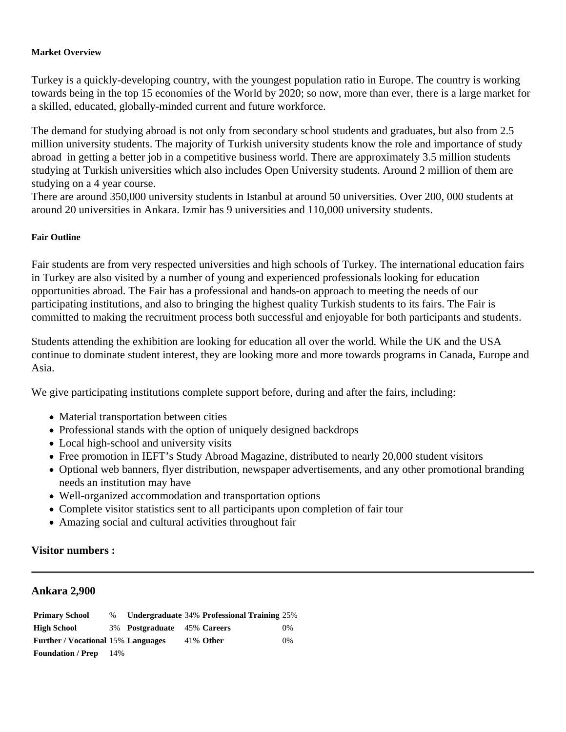#### **Market Overview**

Turkey is a quickly-developing country, with the youngest population ratio in Europe. The country is working towards being in the top 15 economies of the World by 2020; so now, more than ever, there is a large market for a skilled, educated, globally-minded current and future workforce.

The demand for studying abroad is not only from secondary school students and graduates, but also from 2.5 million university students. The majority of Turkish university students know the role and importance of study abroad in getting a better job in a competitive business world. There are approximately 3.5 million students studying at Turkish universities which also includes Open University students. Around 2 million of them are studying on a 4 year course.

There are around 350,000 university students in Istanbul at around 50 universities. Over 200, 000 students at around 20 universities in Ankara. Izmir has 9 universities and 110,000 university students.

#### **Fair Outline**

Fair students are from very respected universities and high schools of Turkey. The international education fairs in Turkey are also visited by a number of young and experienced professionals looking for education opportunities abroad. The Fair has a professional and hands-on approach to meeting the needs of our participating institutions, and also to bringing the highest quality Turkish students to its fairs. The Fair is committed to making the recruitment process both successful and enjoyable for both participants and students.

Students attending the exhibition are looking for education all over the world. While the UK and the USA continue to dominate student interest, they are looking more and more towards programs in Canada, Europe and Asia.

We give participating institutions complete support before, during and after the fairs, including:

- Material transportation between cities
- Professional stands with the option of uniquely designed backdrops
- Local high-school and university visits
- Free promotion in IEFT's Study Abroad Magazine, distributed to nearly 20,000 student visitors
- Optional web banners, flyer distribution, newspaper advertisements, and any other promotional branding needs an institution may have
- Well-organized accommodation and transportation options
- Complete visitor statistics sent to all participants upon completion of fair tour
- Amazing social and cultural activities throughout fair

## **Visitor numbers :**

#### **Ankara 2,900**

**Primary School** % **Undergraduate** 34% **Professional Training** 25% **High School** 3% **Postgraduate** 45% **Careers** 0% **Further / Vocational** 15% **Languages** 41% **Other** 0% **Foundation / Prep** 14%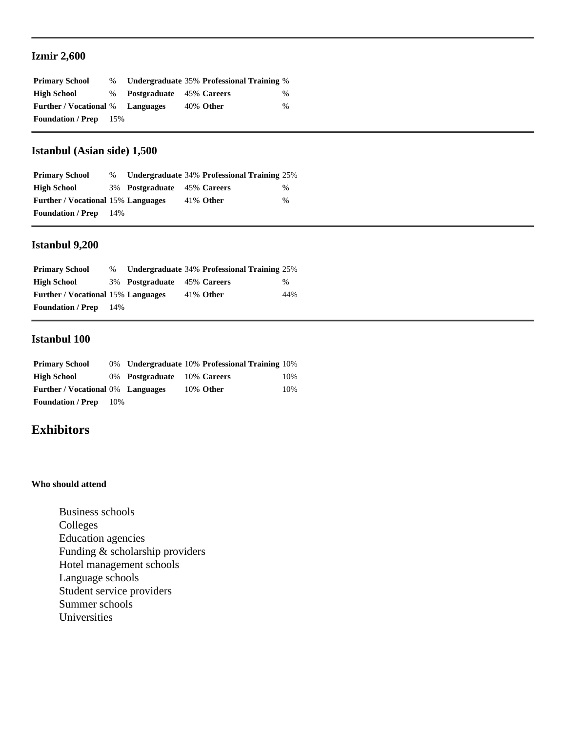## **Izmir 2,600**

| <b>Primary School</b>                   | $\%$  |                                 | Undergraduate 35% Professional Training % |      |
|-----------------------------------------|-------|---------------------------------|-------------------------------------------|------|
| <b>High School</b>                      | $\%$  | <b>Postgraduate</b> 45% Careers |                                           | $\%$ |
| <b>Further / Vocational %</b> Languages |       |                                 | 40% Other                                 | $\%$ |
| <b>Foundation / Prep</b>                | - 15% |                                 |                                           |      |

## **Istanbul (Asian side) 1,500**

| <b>Primary School</b>                     | $\%$ |                             | Undergraduate 34% Professional Training 25% |      |
|-------------------------------------------|------|-----------------------------|---------------------------------------------|------|
| <b>High School</b>                        |      | 3% Postgraduate 45% Careers |                                             | %    |
| <b>Further / Vocational 15% Languages</b> |      |                             | $41\%$ Other                                | $\%$ |
| <b>Foundation / Prep</b>                  | 14%  |                             |                                             |      |

## **Istanbul 9,200**

| <b>Primary School</b>                     | $\%$ |                             | <b>Undergraduate 34% Professional Training 25%</b> |      |
|-------------------------------------------|------|-----------------------------|----------------------------------------------------|------|
| <b>High School</b>                        |      | 3% Postgraduate 45% Careers |                                                    | $\%$ |
| <b>Further / Vocational 15% Languages</b> |      |                             | $41\%$ Other                                       | 44%  |
| <b>Foundation / Prep</b>                  | 14%  |                             |                                                    |      |

## **Istanbul 100**

| <b>Primary School</b>                    |     |                             | 0% Undergraduate 10% Professional Training 10% |     |
|------------------------------------------|-----|-----------------------------|------------------------------------------------|-----|
| High School                              |     | 0% Postgraduate 10% Careers |                                                | 10% |
| <b>Further / Vocational 0% Languages</b> |     |                             | 10% Other                                      | 10% |
| <b>Foundation / Prep</b>                 | 10% |                             |                                                |     |

## **Exhibitors**

#### **Who should attend**

Business schools Colleges Education agencies Funding & scholarship providers Hotel management schools Language schools Student service providers Summer schools Universities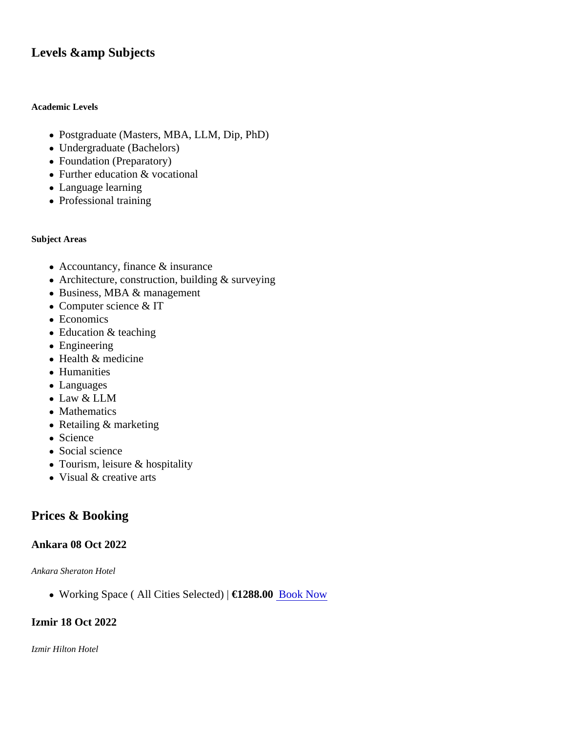## Levels & amp Subjects

Academic Levels

- Postgraduate (Masters, MBA, LLM, Dip, PhD)
- Undergraduate (Bachelors)
- Foundation (Preparatory)
- Further education & vocational
- Language learning
- Professional training

Subject Areas

- Accountancy, finance & insurance
- Architecture, construction, building & surveying
- Business, MBA & management
- Computer science & IT
- Economics
- Education & teaching
- Engineering
- Health & medicine
- Humanities
- Languages
- Law & LLM
- Mathematics
- Retailing & marketing
- Science
- Social science
- Tourism, leisure & hospitality
- Visual & creative arts

## Prices & Booking

Ankara 08 Oct 2022

Ankara Sheraton Hotel

• Working Space ( All Cities Selected€1288.0[0 Book Now](https://universityfairs.com/fair/ieft-international-education-fairs-of-turkey-roadshow-fall?date=12658#booking)

Izmir 18 Oct 2022

Izmir Hilton Hotel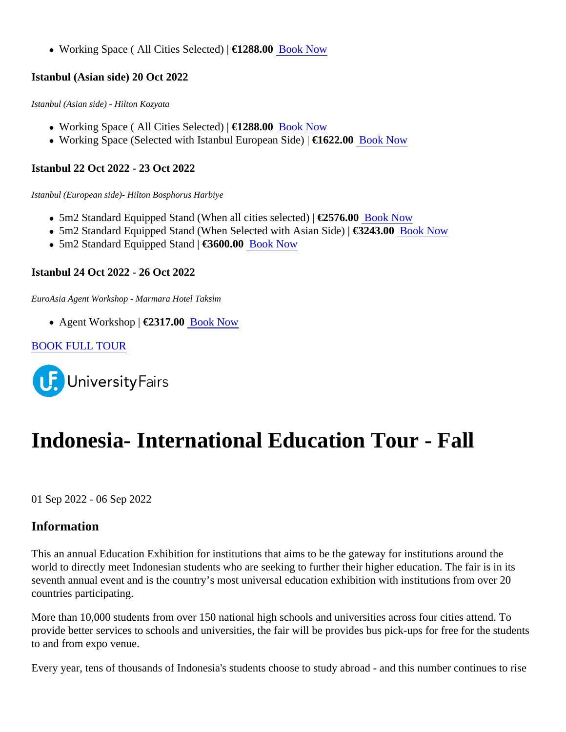● Working Space ( All Cities Selected€1288.00Book Now

Istanbul (Asian side) 20 Oct 2022

Istanbul (Asian side) - Hilton Kozyata

- Working Space ( All Cities Selected€1288.0[0 Book Now](https://universityfairs.com/fair/ieft-international-education-fairs-of-turkey-roadshow-fall?date=11822#booking)
- Working Space (Selected with Istanbul European Siate) 622.0[0 Book Now](https://universityfairs.com/fair/ieft-international-education-fairs-of-turkey-roadshow-fall?date=11822#booking)

Istanbul 22 Oct 2022 - 23 Oct 2022

Istanbul (European side)- Hilton Bosphorus Harbiye

- 5m2 Standard Equipped Stand (When all cities selece266716.0[0 Book Now](https://universityfairs.com/fair/ieft-international-education-fairs-of-turkey-roadshow-fall?date=11826#booking)
- 5m2 Standard Equipped Stand (When Selected with Asian SE324β.0[0 Book Now](https://universityfairs.com/fair/ieft-international-education-fairs-of-turkey-roadshow-fall?date=11826#booking)
- 5m2 Standard Equipped Stana 3600.0[0 Book Now](https://universityfairs.com/fair/ieft-international-education-fairs-of-turkey-roadshow-fall?date=11826#booking)

Istanbul 24 Oct 2022 - 26 Oct 2022

EuroAsia Agent Workshop - Marmara Hotel Taksim

• Agent Workshop €2317.00Book Now

[BOOK FULL TOUR](https://universityfairs.com/bookTour?id=12360)

# Indonesia- International Education Tour - Fall

01 Sep 2022 - 06 Sep 2022

## Information

This an annual Education Exhibition for institutions that aims to be the gateway for institutions around the world to directly meet Indonesian students who are seeking to further their higher education. The fair is in its seventh annual event and is the country's most universal education exhibition with institutions from over 20 countries participating.

More than 10,000 students from over 150 national high schools and universities across four cities attend. To provide better services to schools and universities, the fair will be provides bus pick-ups for free for the studer to and from expo venue.

Every year, tens of thousands of Indonesia's students choose to study abroad - and this number continues to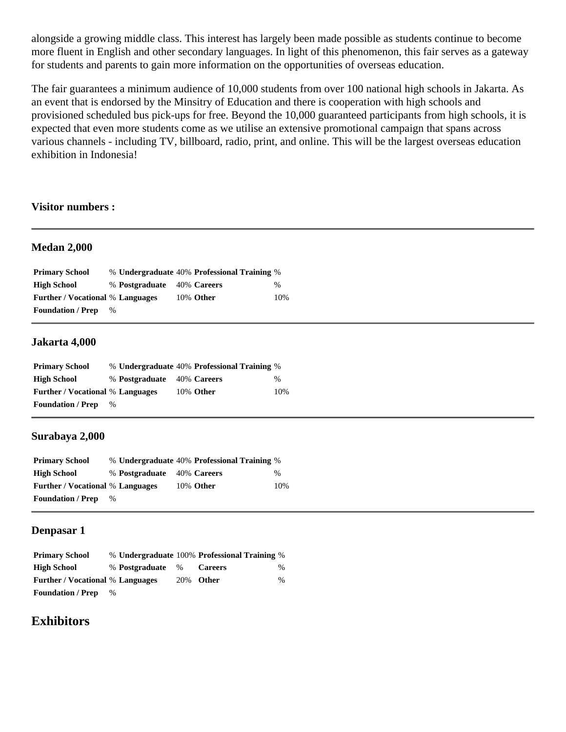alongside a growing middle class. This interest has largely been made possible as students continue to become more fluent in English and other secondary languages. In light of this phenomenon, this fair serves as a gateway for students and parents to gain more information on the opportunities of overseas education.

The fair guarantees a minimum audience of 10,000 students from over 100 national high schools in Jakarta. As an event that is endorsed by the Minsitry of Education and there is cooperation with high schools and provisioned scheduled bus pick-ups for free. Beyond the 10,000 guaranteed participants from high schools, it is expected that even more students come as we utilise an extensive promotional campaign that spans across various channels - including TV, billboard, radio, print, and online. This will be the largest overseas education exhibition in Indonesia!

### **Visitor numbers :**

#### **Medan 2,000**

| <b>Primary School</b>                   |      |                            | % Undergraduate 40% Professional Training % |     |
|-----------------------------------------|------|----------------------------|---------------------------------------------|-----|
| High School                             |      | % Postgraduate 40% Careers |                                             | %   |
| <b>Further / Vocational % Languages</b> |      |                            | 10% Other                                   | 10% |
| <b>Foundation / Prep</b>                | $\%$ |                            |                                             |     |

## **Jakarta 4,000**

| <b>Primary School</b>                   |      |                            | % Undergraduate 40% Professional Training % |      |
|-----------------------------------------|------|----------------------------|---------------------------------------------|------|
| <b>High School</b>                      |      | % Postgraduate 40% Careers |                                             | $\%$ |
| <b>Further</b> / Vocational % Languages |      |                            | 10% Other                                   | 10%  |
| <b>Foundation / Prep</b>                | $\%$ |                            |                                             |      |

### **Surabaya 2,000**

| <b>Primary School</b>                   |      |                            | % Undergraduate 40% Professional Training % |      |
|-----------------------------------------|------|----------------------------|---------------------------------------------|------|
| <b>High School</b>                      |      | % Postgraduate 40% Careers |                                             | $\%$ |
| <b>Further / Vocational % Languages</b> |      |                            | 10% Other                                   | 10%  |
| <b>Foundation / Prep</b>                | $\%$ |                            |                                             |      |

## **Denpasar 1**

| <b>Primary School</b>                   |      |                  | % Undergraduate 100% Professional Training % |      |
|-----------------------------------------|------|------------------|----------------------------------------------|------|
| <b>High School</b>                      |      | % Postgraduate % | <b>Careers</b>                               | $\%$ |
| <b>Further / Vocational % Languages</b> |      |                  | 20% Other                                    | $\%$ |
| <b>Foundation</b> / Prep                | $\%$ |                  |                                              |      |

## **Exhibitors**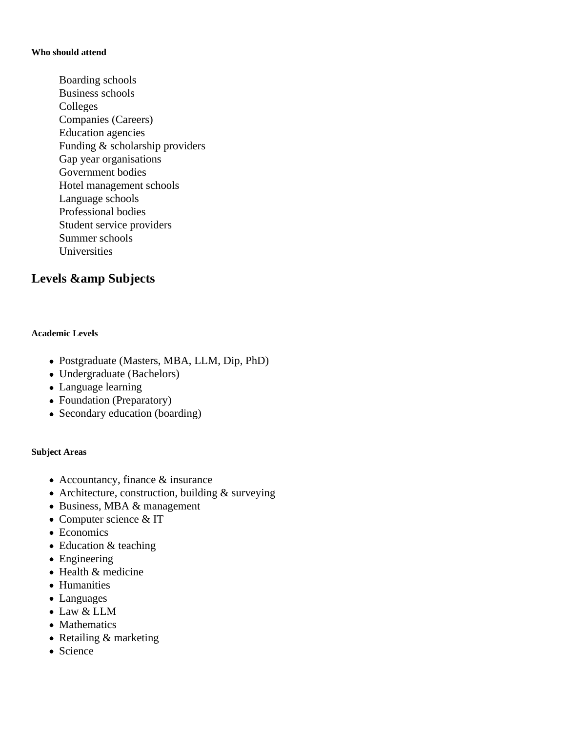#### **Who should attend**

Boarding schools Business schools Colleges Companies (Careers) Education agencies Funding & scholarship providers Gap year organisations Government bodies Hotel management schools Language schools Professional bodies Student service providers Summer schools Universities

# Levels & amp Subjects

## **Academic Levels**

- Postgraduate (Masters, MBA, LLM, Dip, PhD)
- Undergraduate (Bachelors)
- Language learning
- Foundation (Preparatory)
- Secondary education (boarding)

### **Subject Areas**

- Accountancy, finance & insurance
- Architecture, construction, building & surveying
- Business, MBA & management
- Computer science & IT
- Economics
- Education & teaching
- Engineering
- Health & medicine
- Humanities
- Languages
- Law & LLM
- Mathematics
- Retailing & marketing
- Science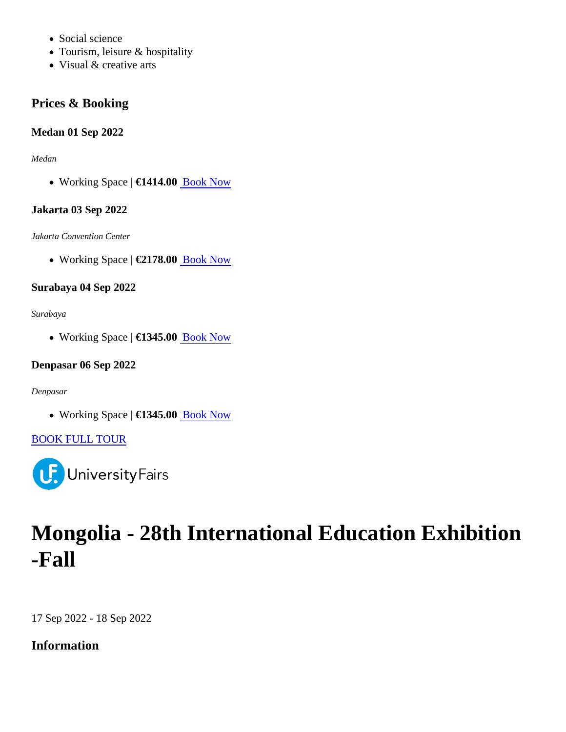- Social science
- Tourism, leisure & hospitality
- Visual & creative arts

Prices & Booking

Medan 01 Sep 2022

Medan

• Working Space €1414.0[0 Book Now](https://universityfairs.com/fair/indonesia-international-education-tour-fall?date=12773#booking)

Jakarta 03 Sep 2022

Jakarta Convention Center

• Working Space €2178.0[0 Book Now](https://universityfairs.com/fair/indonesia-international-education-tour-fall?date=12774#booking)

Surabaya 04 Sep 2022

Surabaya

• Working Space €1345.0[0 Book Now](https://universityfairs.com/fair/indonesia-international-education-tour-fall?date=12777#booking)

Denpasar 06 Sep 2022

Denpasar

• Working Space €1345.0[0 Book Now](https://universityfairs.com/fair/indonesia-international-education-tour-fall?date=12778#booking)

[BOOK FULL TOUR](https://universityfairs.com/bookTour?id=12600)

# Mongolia - 28th International Education Exhibition -Fall

17 Sep 2022 - 18 Sep 2022

Information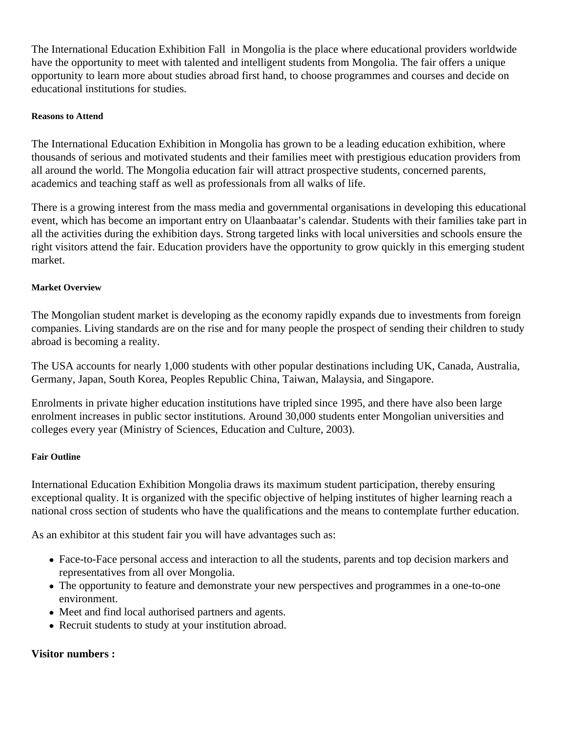The International Education Exhibition Fall in Mongolia is the place where educational providers worldwide have the opportunity to meet with talented and intelligent students from Mongolia. The fair offers a unique opportunity to learn more about studies abroad first hand, to choose programmes and courses and decide on educational institutions for studies.

## **Reasons to Attend**

The International Education Exhibition in Mongolia has grown to be a leading education exhibition, where thousands of serious and motivated students and their families meet with prestigious education providers from all around the world. The Mongolia education fair will attract prospective students, concerned parents, academics and teaching staff as well as professionals from all walks of life.

There is a growing interest from the mass media and governmental organisations in developing this educational event, which has become an important entry on Ulaanbaatar's calendar. Students with their families take part in all the activities during the exhibition days. Strong targeted links with local universities and schools ensure the right visitors attend the fair. Education providers have the opportunity to grow quickly in this emerging student market.

## **Market Overview**

The Mongolian student market is developing as the economy rapidly expands due to investments from foreign companies. Living standards are on the rise and for many people the prospect of sending their children to study abroad is becoming a reality.

The USA accounts for nearly 1,000 students with other popular destinations including UK, Canada, Australia, Germany, Japan, South Korea, Peoples Republic China, Taiwan, Malaysia, and Singapore.

Enrolments in private higher education institutions have tripled since 1995, and there have also been large enrolment increases in public sector institutions. Around 30,000 students enter Mongolian universities and colleges every year (Ministry of Sciences, Education and Culture, 2003).

### **Fair Outline**

International Education Exhibition Mongolia draws its maximum student participation, thereby ensuring exceptional quality. It is organized with the specific objective of helping institutes of higher learning reach a national cross section of students who have the qualifications and the means to contemplate further education.

As an exhibitor at this student fair you will have advantages such as:

- Face-to-Face personal access and interaction to all the students, parents and top decision markers and representatives from all over Mongolia.
- The opportunity to feature and demonstrate your new perspectives and programmes in a one-to-one environment.
- Meet and find local authorised partners and agents.
- Recruit students to study at your institution abroad.

## **Visitor numbers :**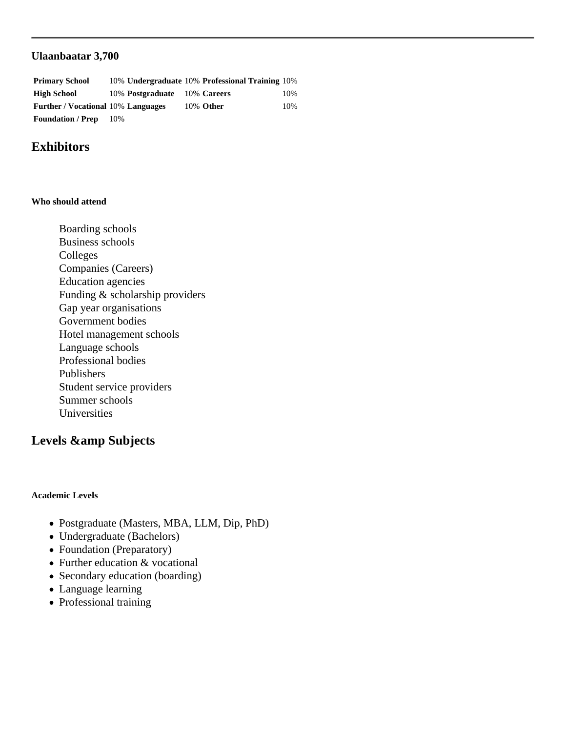## **Ulaanbaatar 3,700**

| <b>Primary School</b>                     |     |                              | 10% Undergraduate 10% Professional Training 10% |     |
|-------------------------------------------|-----|------------------------------|-------------------------------------------------|-----|
| <b>High School</b>                        |     | 10% Postgraduate 10% Careers |                                                 | 10% |
| <b>Further / Vocational 10% Languages</b> |     |                              | 10% Other                                       | 10% |
| <b>Foundation / Prep</b>                  | 10% |                              |                                                 |     |

## **Exhibitors**

#### **Who should attend**

Boarding schools Business schools Colleges Companies (Careers) Education agencies Funding & scholarship providers Gap year organisations Government bodies Hotel management schools Language schools Professional bodies Publishers Student service providers Summer schools Universities

## Levels & amp Subjects

#### **Academic Levels**

- Postgraduate (Masters, MBA, LLM, Dip, PhD)
- Undergraduate (Bachelors)
- Foundation (Preparatory)
- Further education & vocational
- Secondary education (boarding)
- Language learning
- Professional training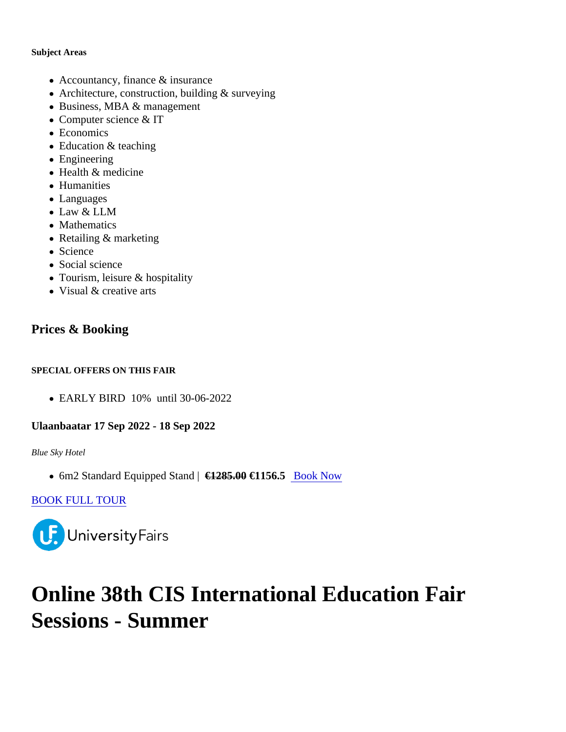Subject Areas

- Accountancy, finance & insurance
- Architecture, construction, building & surveying
- Business, MBA & management
- Computer science & IT
- Economics
- Education & teaching
- Engineering
- Health & medicine
- Humanities
- Languages
- Law & LLM
- Mathematics
- Retailing & marketing
- Science
- Social science
- Tourism, leisure & hospitality
- Visual & creative arts

## Prices & Booking

SPECIAL OFFERS ON THIS FAIR

EARLY BIRD 10% until 30-06-2022

Ulaanbaatar 17 Sep 2022 - 18 Sep 2022

Blue Sky Hotel

• 6m2 Standard Equipped Stan £1285.00€1156.5 [Book Now](https://universityfairs.com/fair/mongolia-28th-international-education-exhibition-fall?date=12985#booking)

[BOOK FULL TOUR](https://universityfairs.com/bookTour?id=12660)

# Online 38th CIS International Education Fair Sessions - Summer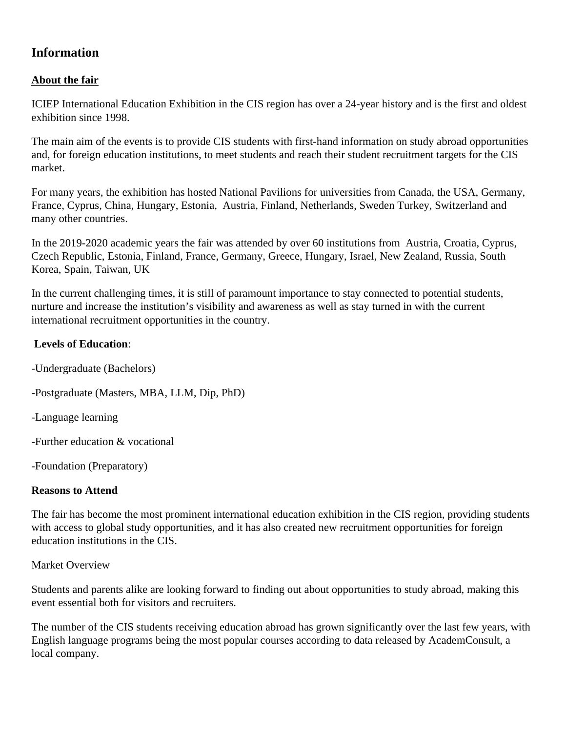## **Information**

## **About the fair**

ICIEP International Education Exhibition in the CIS region has over a 24-year history and is the first and oldest exhibition since 1998.

The main aim of the events is to provide CIS students with first-hand information on study abroad opportunities and, for foreign education institutions, to meet students and reach their student recruitment targets for the CIS market.

For many years, the exhibition has hosted National Pavilions for universities from Canada, the USA, Germany, France, Cyprus, China, Hungary, Estonia, Austria, Finland, Netherlands, Sweden Turkey, Switzerland and many other countries.

In the 2019-2020 academic years the fair was attended by over 60 institutions from Austria, Croatia, Cyprus, Czech Republic, Estonia, Finland, France, Germany, Greece, Hungary, Israel, New Zealand, Russia, South Korea, Spain, Taiwan, UK

In the current challenging times, it is still of paramount importance to stay connected to potential students, nurture and increase the institution's visibility and awareness as well as stay turned in with the current international recruitment opportunities in the country.

## **Levels of Education**:

- -Undergraduate (Bachelors)
- -Postgraduate (Masters, MBA, LLM, Dip, PhD)

-Language learning

-Further education & vocational

-Foundation (Preparatory)

## **Reasons to Attend**

The fair has become the most prominent international education exhibition in the CIS region, providing students with access to global study opportunities, and it has also created new recruitment opportunities for foreign education institutions in the CIS.

## Market Overview

Students and parents alike are looking forward to finding out about opportunities to study abroad, making this event essential both for visitors and recruiters.

The number of the CIS students receiving education abroad has grown significantly over the last few years, with English language programs being the most popular courses according to data released by AcademConsult, a local company.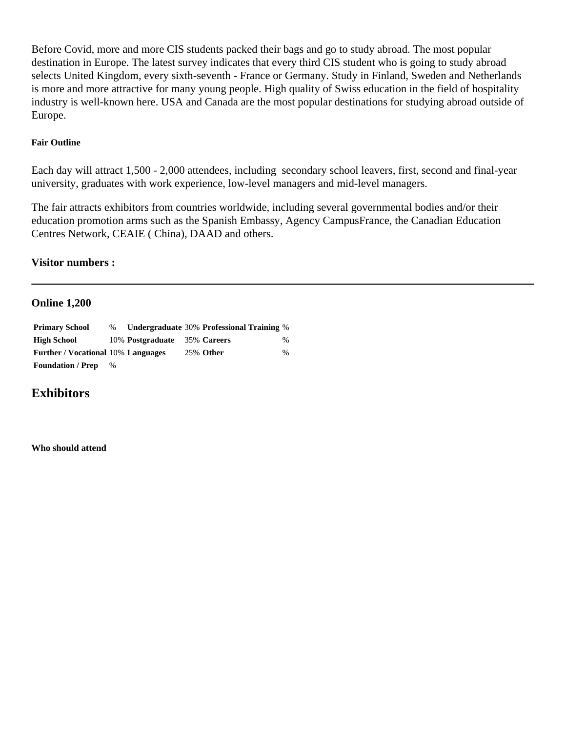Before Covid, more and more CIS students packed their bags and go to study abroad. The most popular destination in Europe. The latest survey indicates that every third CIS student who is going to study abroad selects United Kingdom, every sixth-seventh - France or Germany. Study in Finland, Sweden and Netherlands is more and more attractive for many young people. High quality of Swiss education in the field of hospitality industry is well-known here. USA and Canada are the most popular destinations for studying abroad outside of Europe.

## **Fair Outline**

Each day will attract 1,500 - 2,000 attendees, including secondary school leavers, first, second and final-year university, graduates with work experience, low-level managers and mid-level managers.

The fair attracts exhibitors from countries worldwide, including several governmental bodies and/or their education promotion arms such as the Spanish Embassy, Agency CampusFrance, the Canadian Education Centres Network, CEAIE ( China), DAAD and others.

## **Visitor numbers :**

## **Online 1,200**

| <b>Primary School</b>                     | $\%$ |                              | Undergraduate 30% Professional Training % |      |
|-------------------------------------------|------|------------------------------|-------------------------------------------|------|
| <b>High School</b>                        |      | 10% Postgraduate 35% Careers |                                           | $\%$ |
| <b>Further / Vocational 10% Languages</b> |      |                              | <b>25% Other</b>                          | $\%$ |
| <b>Foundation / Prep</b>                  | $\%$ |                              |                                           |      |

## **Exhibitors**

**Who should attend**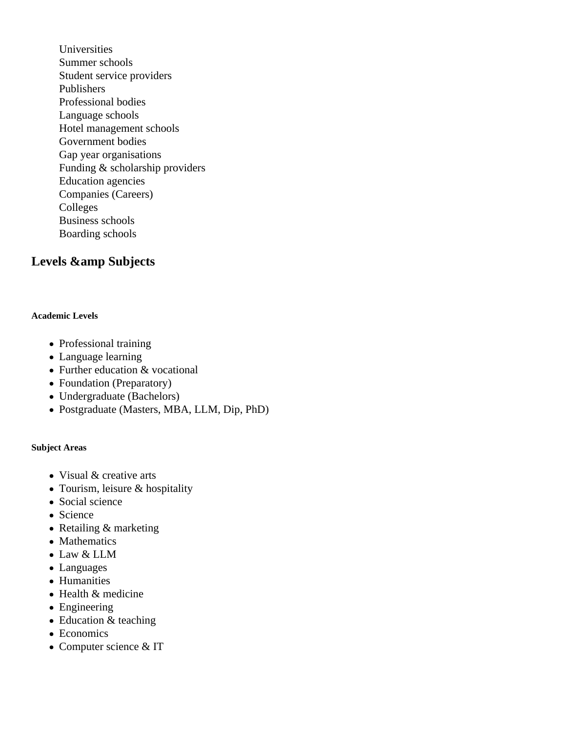Universities Summer schools Student service providers Publishers Professional bodies Language schools Hotel management schools Government bodies Gap year organisations Funding & scholarship providers Education agencies Companies (Careers) Colleges Business schools Boarding schools

# Levels & amp Subjects

## **Academic Levels**

- Professional training
- Language learning
- Further education & vocational
- Foundation (Preparatory)
- Undergraduate (Bachelors)
- Postgraduate (Masters, MBA, LLM, Dip, PhD)

### **Subject Areas**

- Visual & creative arts
- Tourism, leisure & hospitality
- Social science
- Science
- Retailing & marketing
- Mathematics
- Law & LLM
- Languages
- Humanities
- Health & medicine
- Engineering
- Education & teaching
- Economics
- Computer science & IT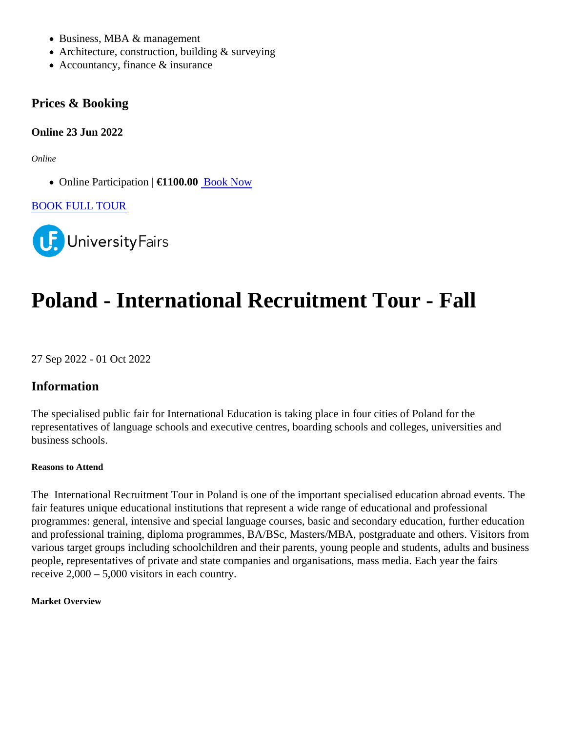- Business, MBA & management
- Architecture, construction, building & surveying
- Accountancy, finance & insurance

Prices & Booking

Online 23 Jun 2022

**Online** 

• Online Participation €1100.0[0 Book Now](https://universityfairs.com/fair/online-38th-cis-international-education-fair-sessions-summer?date=12954#booking)

[BOOK FULL TOUR](https://universityfairs.com/bookTour?id=12649)

# Poland - International Recruitment Tour - Fall

27 Sep 2022 - 01 Oct 2022

Information

The specialised public fair for International Education is taking place in four cities of Poland for the representatives of language schools and executive centres, boarding schools and colleges, universities and business schools.

Reasons to Attend

The International Recruitment Tour in Poland is one of the important specialised education abroad events. The fair features unique educational institutions that represent a wide range of educational and professional programmes: general, intensive and special language courses, basic and secondary education, further education and professional training, diploma programmes, BA/BSc, Masters/MBA, postgraduate and others. Visitors from various target groups including schoolchildren and their parents, young people and students, adults and busine people, representatives of private and state companies and organisations, mass media. Each year the fairs receive 2,000 – 5,000 visitors in each country.

Market Overview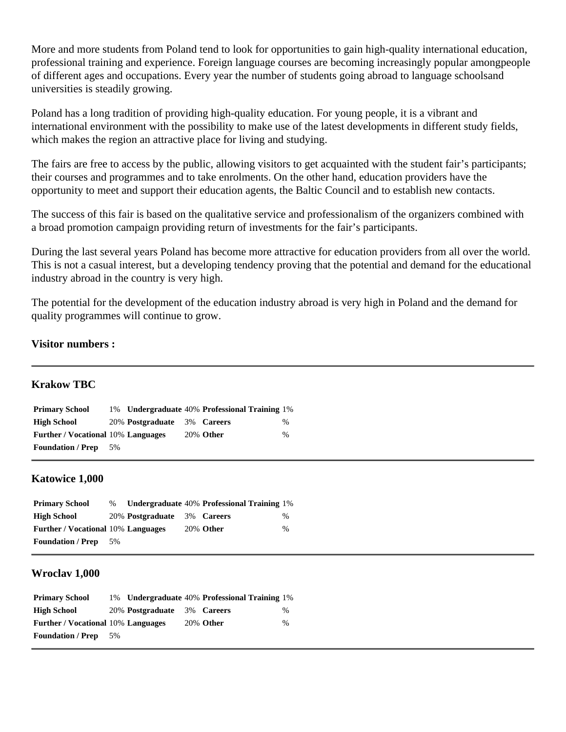More and more students from Poland tend to look for opportunities to gain high-quality international education, professional training and experience. Foreign language courses are becoming increasingly popular amongpeople of different ages and occupations. Every year the number of students going abroad to language schoolsand universities is steadily growing.

Poland has a long tradition of providing high-quality education. For young people, it is a vibrant and international environment with the possibility to make use of the latest developments in different study fields, which makes the region an attractive place for living and studying.

The fairs are free to access by the public, allowing visitors to get acquainted with the student fair's participants; their courses and programmes and to take enrolments. On the other hand, education providers have the opportunity to meet and support their education agents, the Baltic Council and to establish new contacts.

The success of this fair is based on the qualitative service and professionalism of the organizers combined with a broad promotion campaign providing return of investments for the fair's participants.

During the last several years Poland has become more attractive for education providers from all over the world. This is not a casual interest, but a developing tendency proving that the potential and demand for the educational industry abroad in the country is very high.

The potential for the development of the education industry abroad is very high in Poland and the demand for quality programmes will continue to grow.

## **Visitor numbers :**

## **Krakow TBC**

| <b>Primary School</b>                     |     |                             | 1% Undergraduate 40% Professional Training 1% |               |
|-------------------------------------------|-----|-----------------------------|-----------------------------------------------|---------------|
| <b>High School</b>                        |     | 20% Postgraduate 3% Careers |                                               | $\frac{0}{0}$ |
| <b>Further / Vocational 10% Languages</b> |     |                             | <b>20% Other</b>                              | $\frac{0}{0}$ |
| <b>Foundation / Prep</b>                  | .5% |                             |                                               |               |

## **Katowice 1,000**

| <b>Primary School</b>                     | $\%$ |                             | Undergraduate 40% Professional Training 1% |      |
|-------------------------------------------|------|-----------------------------|--------------------------------------------|------|
| <b>High School</b>                        |      | 20% Postgraduate 3% Careers |                                            | $\%$ |
| <b>Further / Vocational 10% Languages</b> |      |                             | <b>20% Other</b>                           | $\%$ |
| <b>Foundation / Prep</b>                  | -5%  |                             |                                            |      |

#### **Wroclav 1,000**

| <b>Primary School</b>                     |     |                             | 1% Undergraduate 40% Professional Training 1% |               |
|-------------------------------------------|-----|-----------------------------|-----------------------------------------------|---------------|
| <b>High School</b>                        |     | 20% Postgraduate 3% Careers |                                               | $\%$          |
| <b>Further / Vocational 10% Languages</b> |     |                             | <b>20% Other</b>                              | $\frac{0}{0}$ |
| <b>Foundation / Prep</b>                  | .5% |                             |                                               |               |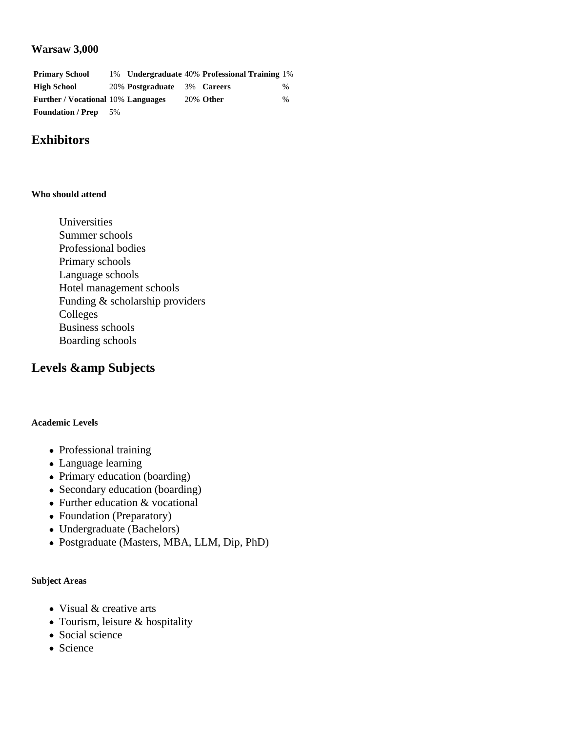## **Warsaw 3,000**

| <b>Primary School</b>                     |       |                             | 1% Undergraduate 40% Professional Training 1% |      |
|-------------------------------------------|-------|-----------------------------|-----------------------------------------------|------|
| <b>High School</b>                        |       | 20% Postgraduate 3% Careers |                                               | $\%$ |
| <b>Further / Vocational 10% Languages</b> |       |                             | <b>20% Other</b>                              | $\%$ |
| <b>Foundation / Prep</b>                  | $5\%$ |                             |                                               |      |

# **Exhibitors**

#### **Who should attend**

Universities Summer schools Professional bodies Primary schools Language schools Hotel management schools Funding & scholarship providers Colleges Business schools Boarding schools

## Levels & amp Subjects

#### **Academic Levels**

- Professional training
- Language learning
- Primary education (boarding)
- Secondary education (boarding)
- Further education & vocational
- Foundation (Preparatory)
- Undergraduate (Bachelors)
- Postgraduate (Masters, MBA, LLM, Dip, PhD)

#### **Subject Areas**

- Visual & creative arts
- Tourism, leisure & hospitality
- Social science
- Science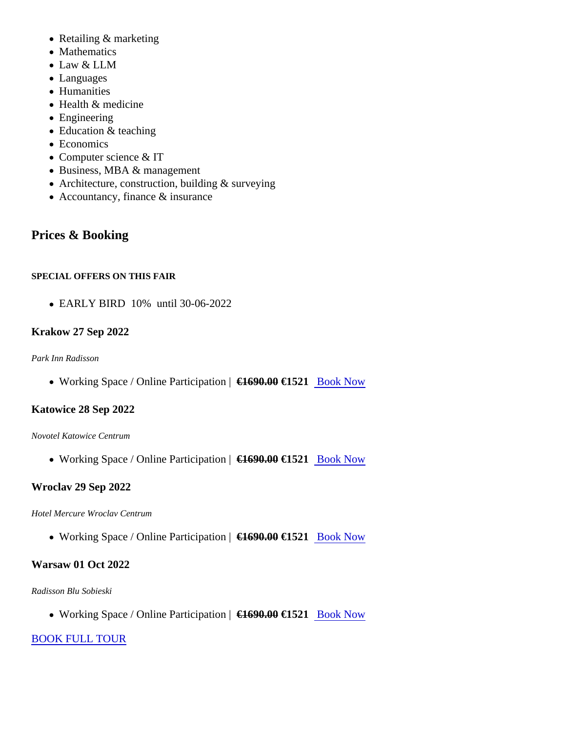- Retailing & marketing
- Mathematics
- Law & LLM
- Languages
- Humanities
- Health & medicine
- Engineering
- Education & teaching
- Economics
- Computer science & IT
- Business, MBA & management
- Architecture, construction, building & surveying
- Accountancy, finance & insurance

# Prices & Booking

## SPECIAL OFFERS ON THIS FAIR

EARLY BIRD 10% until 30-06-2022

## Krakow 27 Sep 2022

Park Inn Radisson

. Working Space / Online Participation (1690.00€1521 [Book Now](https://universityfairs.com/fair/poland-international-recruitment-tour-fall?date=12894#booking)

## Katowice 28 Sep 2022

Novotel Katowice Centrum

• Working Space / Online Participation (1690.00€1521 [Book Now](https://universityfairs.com/fair/poland-international-recruitment-tour-fall?date=12895#booking)

## Wroclav 29 Sep 2022

## Hotel Mercure Wroclav Centrum

• Working Space / Online Participation (1690.00€1521 [Book Now](https://universityfairs.com/fair/poland-international-recruitment-tour-fall?date=12893#booking)

Warsaw 01 Oct 2022

## Radisson Blu Sobieski

• Working Space / Online Participation (  $\equiv$  1690.00€1521 [Book Now](https://universityfairs.com/fair/poland-international-recruitment-tour-fall?date=12891#booking)

## [BOOK FULL TOUR](https://universityfairs.com/bookTour?id=12631)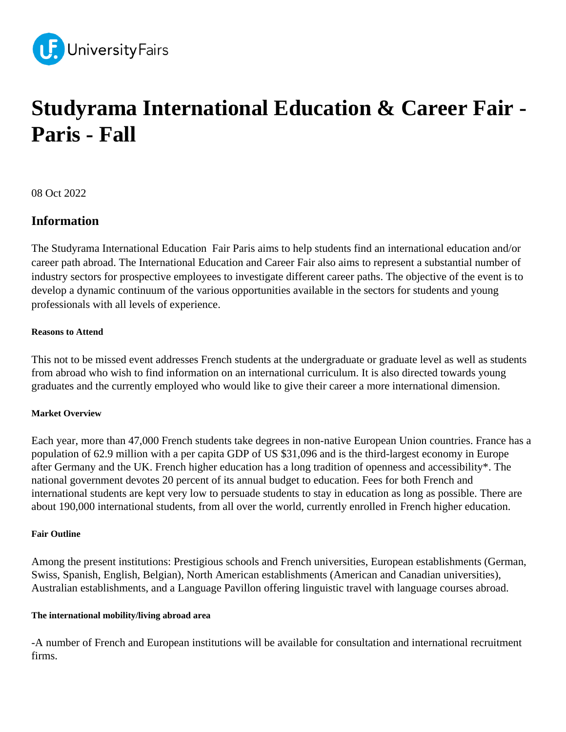

# **Studyrama International Education & Career Fair - Paris - Fall**

08 Oct 2022

## **Information**

The Studyrama International Education Fair Paris aims to help students find an international education and/or career path abroad. The International Education and Career Fair also aims to represent a substantial number of industry sectors for prospective employees to investigate different career paths. The objective of the event is to develop a dynamic continuum of the various opportunities available in the sectors for students and young professionals with all levels of experience.

### **Reasons to Attend**

This not to be missed event addresses French students at the undergraduate or graduate level as well as students from abroad who wish to find information on an international curriculum. It is also directed towards young graduates and the currently employed who would like to give their career a more international dimension.

### **Market Overview**

Each year, more than 47,000 French students take degrees in non-native European Union countries. France has a population of 62.9 million with a per capita GDP of US \$31,096 and is the third-largest economy in Europe after Germany and the UK. French higher education has a long tradition of openness and accessibility\*. The national government devotes 20 percent of its annual budget to education. Fees for both French and international students are kept very low to persuade students to stay in education as long as possible. There are about 190,000 international students, from all over the world, currently enrolled in French higher education.

### **Fair Outline**

Among the present institutions: Prestigious schools and French universities, European establishments (German, Swiss, Spanish, English, Belgian), North American establishments (American and Canadian universities), Australian establishments, and a Language Pavillon offering linguistic travel with language courses abroad.

### **The international mobility/living abroad area**

-A number of French and European institutions will be available for consultation and international recruitment firms.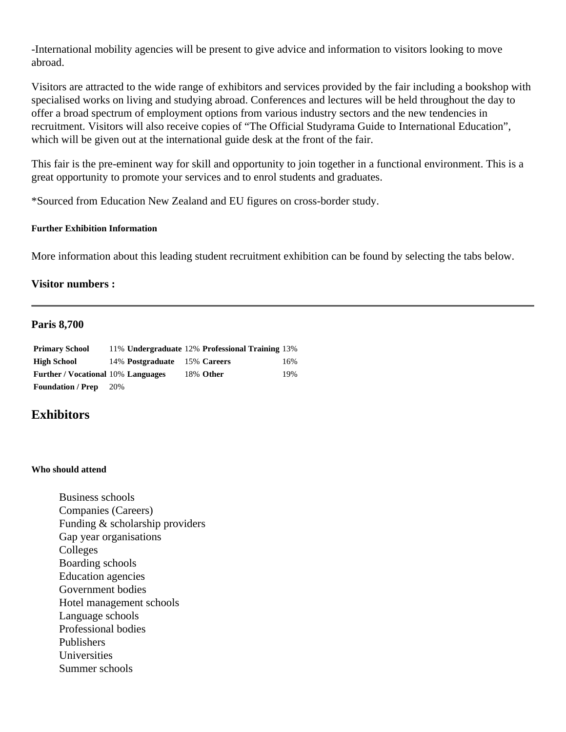-International mobility agencies will be present to give advice and information to visitors looking to move abroad.

Visitors are attracted to the wide range of exhibitors and services provided by the fair including a bookshop with specialised works on living and studying abroad. Conferences and lectures will be held throughout the day to offer a broad spectrum of employment options from various industry sectors and the new tendencies in recruitment. Visitors will also receive copies of "The Official Studyrama Guide to International Education", which will be given out at the international guide desk at the front of the fair.

This fair is the pre-eminent way for skill and opportunity to join together in a functional environment. This is a great opportunity to promote your services and to enrol students and graduates.

\*Sourced from Education New Zealand and EU figures on cross-border study.

#### **Further Exhibition Information**

More information about this leading student recruitment exhibition can be found by selecting the tabs below.

### **Visitor numbers :**

#### **Paris 8,700**

| <b>Primary School</b>                     |     |                              | 11% Undergraduate 12% Professional Training 13% |     |
|-------------------------------------------|-----|------------------------------|-------------------------------------------------|-----|
| High School                               |     | 14% Postgraduate 15% Careers |                                                 | 16% |
| <b>Further / Vocational 10% Languages</b> |     |                              | 18% Other                                       | 19% |
| <b>Foundation</b> / Prep                  | 20% |                              |                                                 |     |

## **Exhibitors**

#### **Who should attend**

Business schools Companies (Careers) Funding & scholarship providers Gap year organisations Colleges Boarding schools Education agencies Government bodies Hotel management schools Language schools Professional bodies Publishers Universities Summer schools